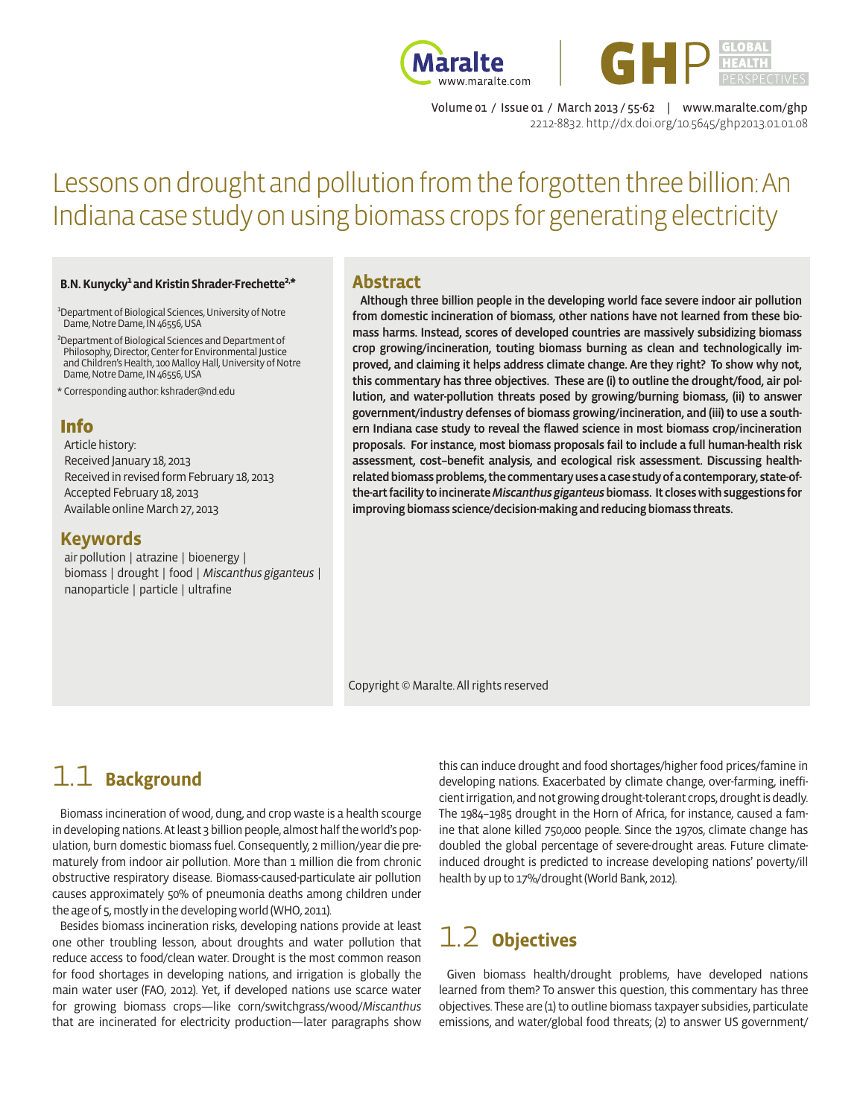



Volume 01 / Issue 01 / March 2013 / 55-62 | www.maralte.com/ghp 2212-8832. http://dx.doi.org/10.5645/ghp2013.01.01.08

# Lessons on drought and pollution from the forgotten three billion: An Indiana case study on using biomass crops for generating electricity

#### B.N. Kunycky<sup>1</sup> and Kristin Shrader-Frechette<sup>2,\*</sup>

<sup>1</sup>Department of Biological Sciences, University of Notre Dame, Notre Dame, IN 46556, USA

2Department of Biological Sciences and Department of Philosophy, Director, Center for Environmental Justice and Children's Health, 100 Malloy Hall, University of Notre Dame, Notre Dame, IN 46556, USA

\* Corresponding author: kshrader@nd.edu

### Info

Article history: Received January 18, 2013 Received in revised form February 18, 2013 Accepted February 18, 2013 Available online March 27, 2013

### **Keywords**

air pollution | atrazine | bioenergy | biomass | drought | food | *Miscanthus giganteus* | nanoparticle | particle | ultrafine

### **Abstract**

Although three billion people in the developing world face severe indoor air pollution from domestic incineration of biomass, other nations have not learned from these biomass harms. Instead, scores of developed countries are massively subsidizing biomass crop growing/incineration, touting biomass burning as clean and technologically improved, and claiming it helps address climate change. Are they right? To show why not, this commentary has three objectives. These are (i) to outline the drought/food, air pollution, and water-pollution threats posed by growing/burning biomass, (ii) to answer government/industry defenses of biomass growing/incineration, and (iii) to use a southern Indiana case study to reveal the flawed science in most biomass crop/incineration proposals. For instance, most biomass proposals fail to include a full human-health risk assessment, cost–benefit analysis, and ecological risk assessment. Discussing healthrelated biomass problems, the commentary uses a case study of a contemporary, state-ofthe-art facility to incinerate *Miscanthus giganteus* biomass. It closes with suggestions for improving biomass science/decision-making and reducing biomass threats.

Copyright © Maralte. All rights reserved

## 1.1 **Background**

Biomass incineration of wood, dung, and crop waste is a health scourge in developing nations. At least 3 billion people, almost half the world's population, burn domestic biomass fuel. Consequently, 2 million/year die prematurely from indoor air pollution. More than 1 million die from chronic obstructive respiratory disease. Biomass-caused-particulate air pollution causes approximately 50% of pneumonia deaths among children under the age of 5, mostly in the developing world (WHO, 2011).

Besides biomass incineration risks, developing nations provide at least one other troubling lesson, about droughts and water pollution that reduce access to food/clean water. Drought is the most common reason for food shortages in developing nations, and irrigation is globally the main water user (FAO, 2012). Yet, if developed nations use scarce water for growing biomass crops—like corn/switchgrass/wood/*Miscanthus* that are incinerated for electricity production—later paragraphs show

this can induce drought and food shortages/higher food prices/famine in developing nations. Exacerbated by climate change, over-farming, inefficient irrigation, and not growing drought-tolerant crops, drought is deadly. The 1984–1985 drought in the Horn of Africa, for instance, caused a famine that alone killed 750,000 people. Since the 1970s, climate change has doubled the global percentage of severe-drought areas. Future climateinduced drought is predicted to increase developing nations' poverty/ill health by up to 17%/drought (World Bank, 2012).

# 1.2 **Objectives**

Given biomass health/drought problems, have developed nations learned from them? To answer this question, this commentary has three objectives. These are (1) to outline biomass taxpayer subsidies, particulate emissions, and water/global food threats; (2) to answer US government/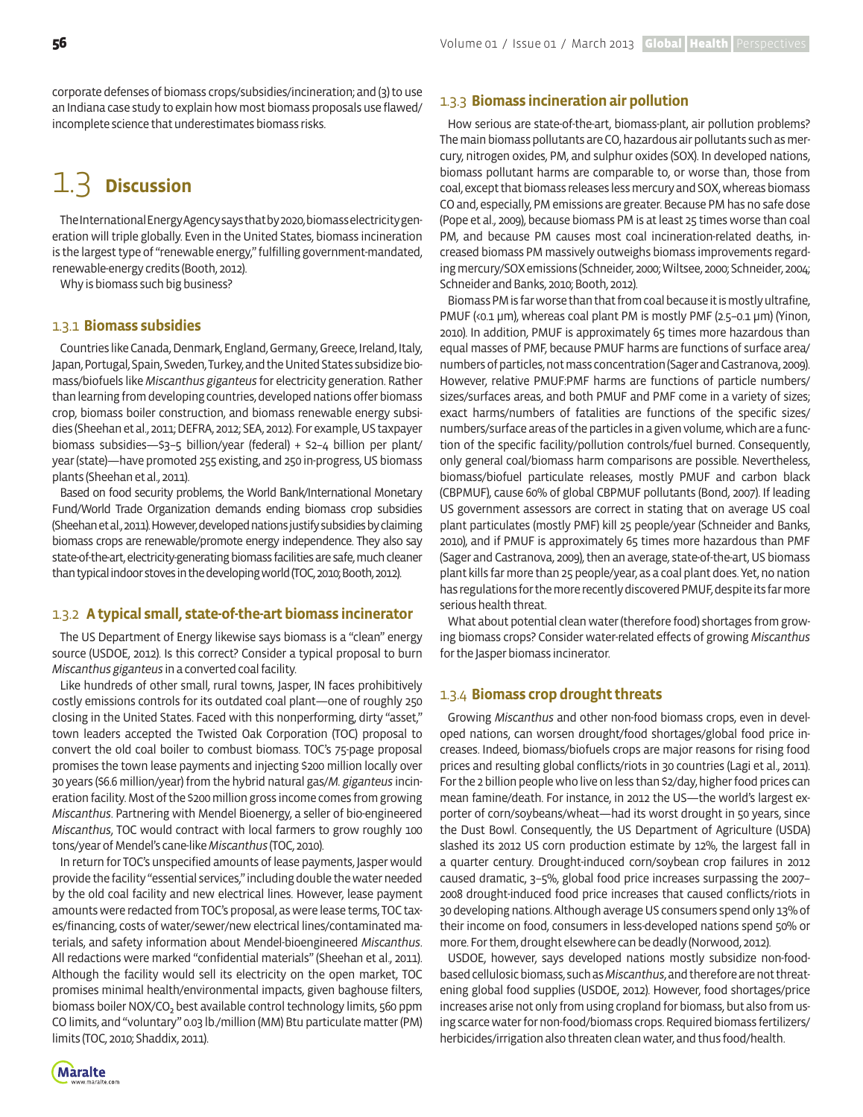corporate defenses of biomass crops/subsidies/incineration; and (3) to use an Indiana case study to explain how most biomass proposals use flawed/ incomplete science that underestimates biomass risks.

# 1.3 **Discussion**

The International Energy Agency says that by 2020, biomass electricity generation will triple globally. Even in the United States, biomass incineration is the largest type of "renewable energy," fulfilling government-mandated, renewable-energy credits (Booth, 2012).

Why is biomass such big business?

#### 1.3.1 **Biomass subsidies**

Countries like Canada, Denmark, England, Germany, Greece, Ireland, Italy, Japan, Portugal, Spain, Sweden, Turkey, and the United States subsidize biomass/biofuels like *Miscanthus giganteus* for electricity generation. Rather than learning from developing countries, developed nations offer biomass crop, biomass boiler construction, and biomass renewable energy subsidies (Sheehan et al., 2011; DEFRA, 2012; SEA, 2012). For example, US taxpayer biomass subsidies—\$3–5 billion/year (federal) + \$2–4 billion per plant/ year (state)—have promoted 255 existing, and 250 in-progress, US biomass plants (Sheehan et al., 2011).

Based on food security problems, the World Bank/International Monetary Fund/World Trade Organization demands ending biomass crop subsidies (Sheehan et al., 2011). However, developed nations justify subsidies by claiming biomass crops are renewable/promote energy independence. They also say state-of-the-art, electricity-generating biomass facilities are safe, much cleaner than typical indoor stoves in the developing world (TOC, 2010; Booth, 2012).

#### 1.3.2 **A typical small, state-of-the-art biomass incinerator**

The US Department of Energy likewise says biomass is a "clean" energy source (USDOE, 2012). Is this correct? Consider a typical proposal to burn *Miscanthus giganteus* in a converted coal facility.

Like hundreds of other small, rural towns, Jasper, IN faces prohibitively costly emissions controls for its outdated coal plant—one of roughly 250 closing in the United States. Faced with this nonperforming, dirty "asset," town leaders accepted the Twisted Oak Corporation (TOC) proposal to convert the old coal boiler to combust biomass. TOC's 75-page proposal promises the town lease payments and injecting \$200 million locally over 30 years (\$6.6 million/year) from the hybrid natural gas/*M. giganteus* incineration facility. Most of the \$200 million gross income comes from growing *Miscanthus*. Partnering with Mendel Bioenergy, a seller of bio-engineered *Miscanthus*, TOC would contract with local farmers to grow roughly 100 tons/year of Mendel's cane-like *Miscanthus* (TOC, 2010).

In return for TOC's unspecified amounts of lease payments, Jasper would provide the facility "essential services," including double the water needed by the old coal facility and new electrical lines. However, lease payment amounts were redacted from TOC's proposal, as were lease terms, TOC taxes/financing, costs of water/sewer/new electrical lines/contaminated materials, and safety information about Mendel-bioengineered *Miscanthus*. All redactions were marked "confidential materials" (Sheehan et al., 2011). Although the facility would sell its electricity on the open market, TOC promises minimal health/environmental impacts, given baghouse filters, biomass boiler NOX/CO<sub>2</sub> best available control technology limits, 560 ppm CO limits, and "voluntary" 0.03 lb./million (MM) Btu particulate matter (PM) limits (TOC, 2010; Shaddix, 2011).

### 1.3.3 **Biomass incineration air pollution**

How serious are state-of-the-art, biomass-plant, air pollution problems? The main biomass pollutants are CO, hazardous air pollutants such as mercury, nitrogen oxides, PM, and sulphur oxides (SOX). In developed nations, biomass pollutant harms are comparable to, or worse than, those from coal, except that biomass releases less mercury and SOX, whereas biomass CO and, especially, PM emissions are greater. Because PM has no safe dose (Pope et al., 2009), because biomass PM is at least 25 times worse than coal PM, and because PM causes most coal incineration-related deaths, increased biomass PM massively outweighs biomass improvements regarding mercury/SOX emissions (Schneider, 2000; Wiltsee, 2000; Schneider, 2004; Schneider and Banks, 2010; Booth, 2012).

Biomass PM is far worse than that from coal because it is mostly ultrafine, PMUF (<0.1 μm), whereas coal plant PM is mostly PMF (2.5–0.1 μm) (Yinon, 2010). In addition, PMUF is approximately 65 times more hazardous than equal masses of PMF, because PMUF harms are functions of surface area/ numbers of particles, not mass concentration (Sager and Castranova, 2009). However, relative PMUF:PMF harms are functions of particle numbers/ sizes/surfaces areas, and both PMUF and PMF come in a variety of sizes; exact harms/numbers of fatalities are functions of the specific sizes/ numbers/surface areas of the particles in a given volume, which are a function of the specific facility/pollution controls/fuel burned. Consequently, only general coal/biomass harm comparisons are possible. Nevertheless, biomass/biofuel particulate releases, mostly PMUF and carbon black (CBPMUF), cause 60% of global CBPMUF pollutants (Bond, 2007). If leading US government assessors are correct in stating that on average US coal plant particulates (mostly PMF) kill 25 people/year (Schneider and Banks, 2010), and if PMUF is approximately 65 times more hazardous than PMF (Sager and Castranova, 2009), then an average, state-of-the-art, US biomass plant kills far more than 25 people/year, as a coal plant does. Yet, no nation has regulations for the more recently discovered PMUF, despite its far more serious health threat.

What about potential clean water (therefore food) shortages from growing biomass crops? Consider water-related effects of growing *Miscanthus* for the Jasper biomass incinerator.

### 1.3.4 **Biomass crop drought threats**

Growing *Miscanthus* and other non-food biomass crops, even in developed nations, can worsen drought/food shortages/global food price increases. Indeed, biomass/biofuels crops are major reasons for rising food prices and resulting global conflicts/riots in 30 countries (Lagi et al., 2011). For the 2 billion people who live on less than \$2/day, higher food prices can mean famine/death. For instance, in 2012 the US—the world's largest exporter of corn/soybeans/wheat—had its worst drought in 50 years, since the Dust Bowl. Consequently, the US Department of Agriculture (USDA) slashed its 2012 US corn production estimate by 12%, the largest fall in a quarter century. Drought-induced corn/soybean crop failures in 2012 caused dramatic, 3–5%, global food price increases surpassing the 2007– 2008 drought-induced food price increases that caused conflicts/riots in 30 developing nations. Although average US consumers spend only 13% of their income on food, consumers in less-developed nations spend 50% or more. For them, drought elsewhere can be deadly (Norwood, 2012).

USDOE, however, says developed nations mostly subsidize non-foodbased cellulosic biomass, such as *Miscanthus*, and therefore are not threatening global food supplies (USDOE, 2012). However, food shortages/price increases arise not only from using cropland for biomass, but also from using scarce water for non-food/biomass crops. Required biomass fertilizers/ herbicides/irrigation also threaten clean water, and thus food/health.



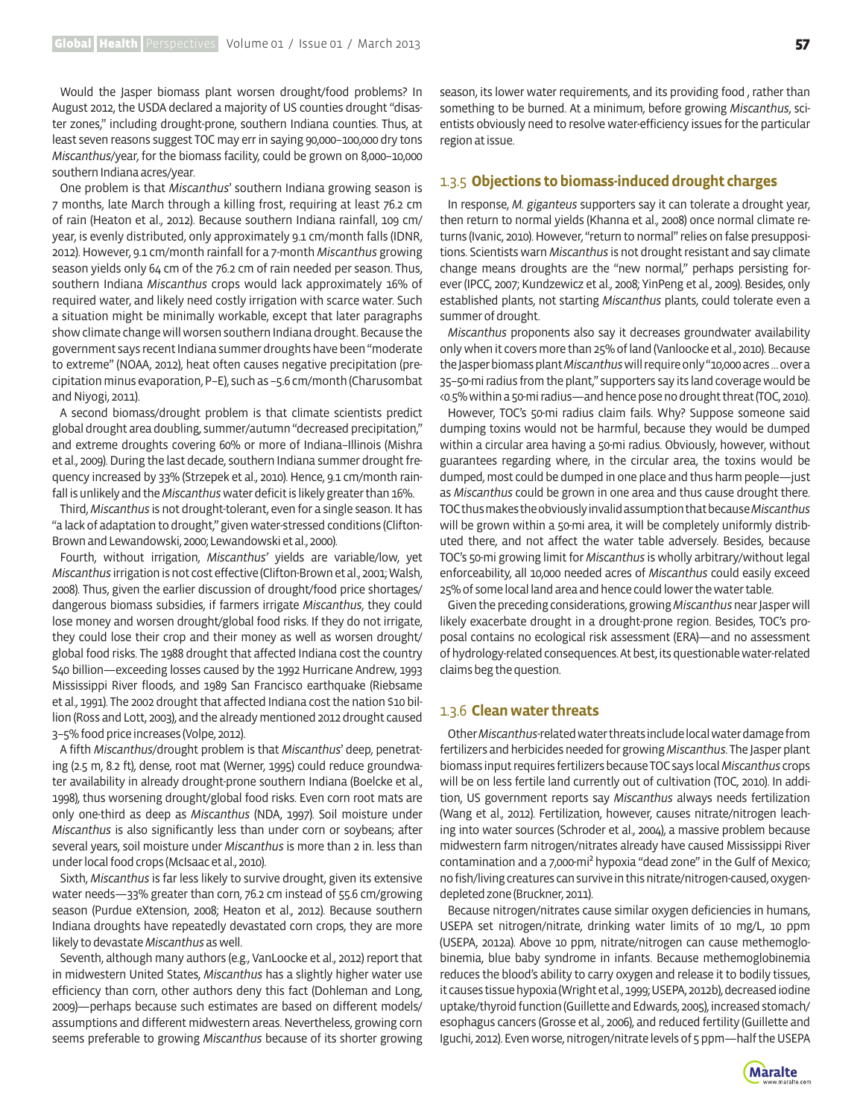Would the Jasper biomass plant worsen drought/food problems? In August 2012, the USDA declared a majority of US counties drought "disaster zones," including drought-prone, southern Indiana counties. Thus, at least seven reasons suggest TOC may err in saying 90,000–100,000 dry tons *Miscanthus*/year, for the biomass facility, could be grown on 8,000–10,000 southern Indiana acres/year.

One problem is that *Miscanthus*' southern Indiana growing season is 7 months, late March through a killing frost, requiring at least 76.2 cm of rain (Heaton et al., 2012). Because southern Indiana rainfall, 109 cm/ year, is evenly distributed, only approximately 9.1 cm/month falls (IDNR, 2012). However, 9.1 cm/month rainfall for a 7-month *Miscanthus* growing season yields only 64 cm of the 76.2 cm of rain needed per season. Thus, southern Indiana *Miscanthus* crops would lack approximately 16% of required water, and likely need costly irrigation with scarce water. Such a situation might be minimally workable, except that later paragraphs show climate change will worsen southern Indiana drought. Because the government says recent Indiana summer droughts have been "moderate to extreme" (NOAA, 2012), heat often causes negative precipitation (precipitation minus evaporation, P–E), such as –5.6 cm/month (Charusombat and Niyogi, 2011).

A second biomass/drought problem is that climate scientists predict global drought area doubling, summer/autumn "decreased precipitation," and extreme droughts covering 60% or more of Indiana–Illinois (Mishra et al., 2009). During the last decade, southern Indiana summer drought frequency increased by 33% (Strzepek et al., 2010). Hence, 9.1 cm/month rainfall is unlikely and the *Miscanthus* water deficit is likely greater than 16%.

Third, *Miscanthus* is not drought-tolerant, even for a single season. It has "a lack of adaptation to drought," given water-stressed conditions (Clifton-Brown and Lewandowski, 2000; Lewandowski et al., 2000).

Fourth, without irrigation, *Miscanthus'* yields are variable/low, yet *Miscanthus* irrigation is not cost effective (Clifton-Brown et al., 2001; Walsh, 2008). Thus, given the earlier discussion of drought/food price shortages/ dangerous biomass subsidies, if farmers irrigate *Miscanthus*, they could lose money and worsen drought/global food risks. If they do not irrigate, they could lose their crop and their money as well as worsen drought/ global food risks. The 1988 drought that affected Indiana cost the country \$40 billion—exceeding losses caused by the 1992 Hurricane Andrew, 1993 Mississippi River floods, and 1989 San Francisco earthquake (Riebsame et al., 1991). The 2002 drought that affected Indiana cost the nation \$10 billion (Ross and Lott, 2003), and the already mentioned 2012 drought caused 3–5% food price increases (Volpe, 2012).

A fifth *Miscanthus*/drought problem is that *Miscanthus*' deep, penetrating (2.5 m, 8.2 ft), dense, root mat (Werner, 1995) could reduce groundwater availability in already drought-prone southern Indiana (Boelcke et al., 1998), thus worsening drought/global food risks. Even corn root mats are only one-third as deep as *Miscanthus* (NDA, 1997). Soil moisture under *Miscanthus* is also significantly less than under corn or soybeans; after several years, soil moisture under *Miscanthus* is more than 2 in. less than under local food crops (McIsaac et al., 2010).

Sixth, *Miscanthus* is far less likely to survive drought, given its extensive water needs—33% greater than corn, 76.2 cm instead of 55.6 cm/growing season (Purdue eXtension, 2008; Heaton et al., 2012). Because southern Indiana droughts have repeatedly devastated corn crops, they are more likely to devastate *Miscanthus* as well.

Seventh, although many authors (e.g., VanLoocke et al., 2012) report that in midwestern United States, *Miscanthus* has a slightly higher water use efficiency than corn, other authors deny this fact (Dohleman and Long, 2009)—perhaps because such estimates are based on different models/ assumptions and different midwestern areas. Nevertheless, growing corn seems preferable to growing *Miscanthus* because of its shorter growing

season, its lower water requirements, and its providing food , rather than something to be burned. At a minimum, before growing *Miscanthus*, scientists obviously need to resolve water-efficiency issues for the particular region at issue.

#### 1.3.5 **Objections to biomass-induced drought charges**

In response, *M. giganteus* supporters say it can tolerate a drought year, then return to normal yields (Khanna et al., 2008) once normal climate returns (Ivanic, 2010). However, "return to normal" relies on false presuppositions. Scientists warn *Miscanthus* is not drought resistant and say climate change means droughts are the "new normal," perhaps persisting forever (IPCC, 2007; Kundzewicz et al., 2008; YinPeng et al., 2009). Besides, only established plants, not starting *Miscanthus* plants, could tolerate even a summer of drought.

*Miscanthus* proponents also say it decreases groundwater availability only when it covers more than 25% of land (Vanloocke et al., 2010). Because the Jasper biomass plant *Miscanthus* will require only "10,000 acres … over a 35–50-mi radius from the plant," supporters say its land coverage would be <0.5% within a 50-mi radius—and hence pose no drought threat (TOC, 2010).

However, TOC's 50-mi radius claim fails. Why? Suppose someone said dumping toxins would not be harmful, because they would be dumped within a circular area having a 50-mi radius. Obviously, however, without guarantees regarding where, in the circular area, the toxins would be dumped, most could be dumped in one place and thus harm people—just as *Miscanthus* could be grown in one area and thus cause drought there. TOC thus makes the obviously invalid assumption that because *Miscanthus* will be grown within a 50-mi area, it will be completely uniformly distributed there, and not affect the water table adversely. Besides, because TOC's 50-mi growing limit for *Miscanthus* is wholly arbitrary/without legal enforceability, all 10,000 needed acres of *Miscanthus* could easily exceed 25% of some local land area and hence could lower the water table.

Given the preceding considerations, growing *Miscanthus* near Jasper will likely exacerbate drought in a drought-prone region. Besides, TOC's proposal contains no ecological risk assessment (ERA)—and no assessment of hydrology-related consequences. At best, its questionable water-related claims beg the question.

#### 1.3.6 **Clean water threats**

Other *Miscanthus*-related water threats include local water damage from fertilizers and herbicides needed for growing *Miscanthus*. The Jasper plant biomass input requires fertilizers because TOC says local *Miscanthus* crops will be on less fertile land currently out of cultivation (TOC, 2010). In addition, US government reports say *Miscanthus* always needs fertilization (Wang et al., 2012). Fertilization, however, causes nitrate/nitrogen leaching into water sources (Schroder et al., 2004), a massive problem because midwestern farm nitrogen/nitrates already have caused Mississippi River contamination and a 7,000-mi2 hypoxia "dead zone" in the Gulf of Mexico; no fish/living creatures can survive in this nitrate/nitrogen-caused, oxygendepleted zone (Bruckner, 2011).

Because nitrogen/nitrates cause similar oxygen deficiencies in humans, USEPA set nitrogen/nitrate, drinking water limits of 10 mg/L, 10 ppm (USEPA, 2012a). Above 10 ppm, nitrate/nitrogen can cause methemoglobinemia, blue baby syndrome in infants. Because methemoglobinemia reduces the blood's ability to carry oxygen and release it to bodily tissues, it causes tissue hypoxia (Wright et al., 1999; USEPA, 2012b), decreased iodine uptake/thyroid function (Guillette and Edwards, 2005), increased stomach/ esophagus cancers (Grosse et al., 2006), and reduced fertility (Guillette and Iguchi, 2012). Even worse, nitrogen/nitrate levels of 5 ppm—half the USEPA

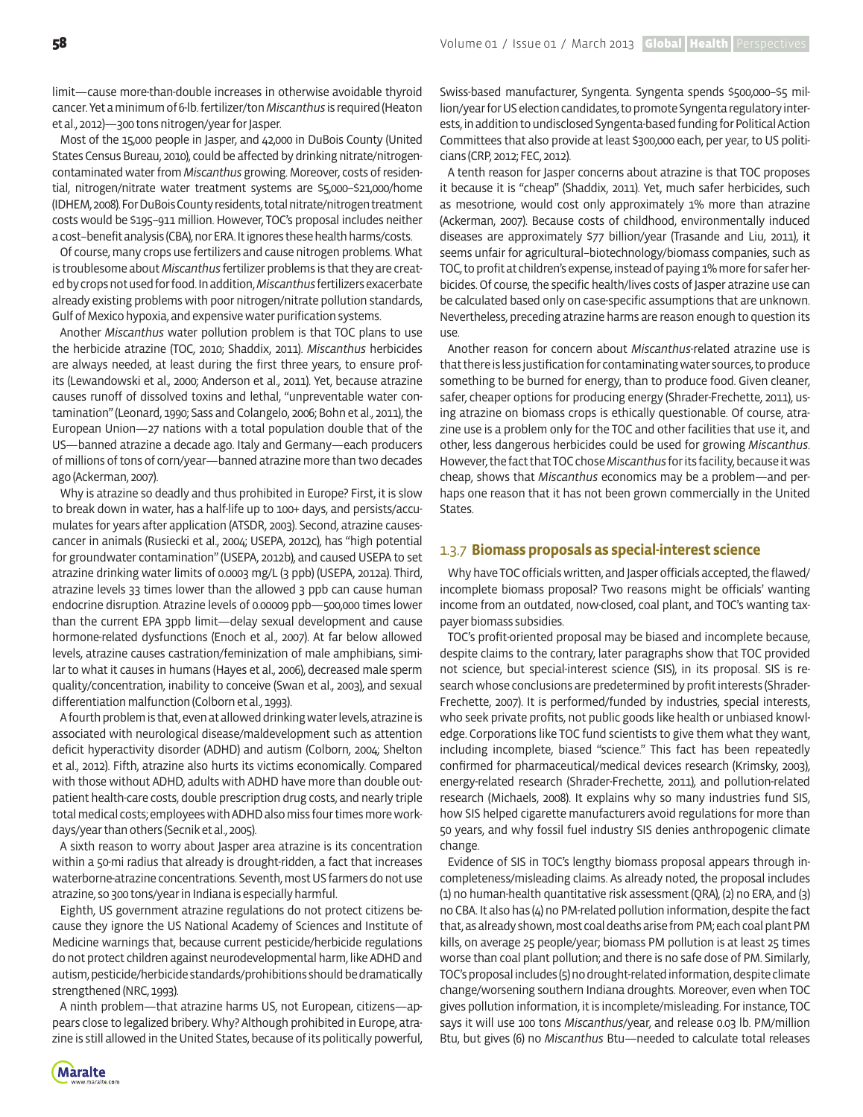limit—cause more-than-double increases in otherwise avoidable thyroid cancer. Yet a minimum of 6-lb. fertilizer/ton *Miscanthus* is required (Heaton et al., 2012)—300 tons nitrogen/year for Jasper.

Most of the 15,000 people in Jasper, and 42,000 in DuBois County (United States Census Bureau, 2010), could be affected by drinking nitrate/nitrogencontaminated water from *Miscanthus* growing. Moreover, costs of residential, nitrogen/nitrate water treatment systems are \$5,000–\$21,000/home (IDHEM, 2008). For DuBois County residents, total nitrate/nitrogen treatment costs would be \$195–911 million. However, TOC's proposal includes neither a cost–benefit analysis (CBA), nor ERA. It ignores these health harms/costs.

Of course, many crops use fertilizers and cause nitrogen problems. What is troublesome about *Miscanthus* fertilizer problems is that they are created by crops not used for food. In addition, *Miscanthus* fertilizers exacerbate already existing problems with poor nitrogen/nitrate pollution standards, Gulf of Mexico hypoxia, and expensive water purification systems.

Another *Miscanthus* water pollution problem is that TOC plans to use the herbicide atrazine (TOC, 2010; Shaddix, 2011). *Miscanthus* herbicides are always needed, at least during the first three years, to ensure profits (Lewandowski et al., 2000; Anderson et al., 2011). Yet, because atrazine causes runoff of dissolved toxins and lethal, "unpreventable water contamination" (Leonard, 1990; Sass and Colangelo, 2006; Bohn et al., 2011), the European Union—27 nations with a total population double that of the US—banned atrazine a decade ago. Italy and Germany—each producers of millions of tons of corn/year—banned atrazine more than two decades ago (Ackerman, 2007).

Why is atrazine so deadly and thus prohibited in Europe? First, it is slow to break down in water, has a half-life up to 100+ days, and persists/accumulates for years after application (ATSDR, 2003). Second, atrazine causescancer in animals (Rusiecki et al., 2004; USEPA, 2012c), has "high potential for groundwater contamination" (USEPA, 2012b), and caused USEPA to set atrazine drinking water limits of 0.0003 mg/L (3 ppb) (USEPA, 2012a). Third, atrazine levels 33 times lower than the allowed 3 ppb can cause human endocrine disruption. Atrazine levels of 0.00009 ppb—500,000 times lower than the current EPA 3ppb limit—delay sexual development and cause hormone-related dysfunctions (Enoch et al., 2007). At far below allowed levels, atrazine causes castration/feminization of male amphibians, similar to what it causes in humans (Hayes et al., 2006), decreased male sperm quality/concentration, inability to conceive (Swan et al., 2003), and sexual differentiation malfunction (Colborn et al., 1993).

A fourth problem is that, even at allowed drinking water levels, atrazine is associated with neurological disease/maldevelopment such as attention deficit hyperactivity disorder (ADHD) and autism (Colborn, 2004; Shelton et al., 2012). Fifth, atrazine also hurts its victims economically. Compared with those without ADHD, adults with ADHD have more than double outpatient health-care costs, double prescription drug costs, and nearly triple total medical costs; employees with ADHD also miss four times more workdays/year than others (Secnik et al., 2005).

A sixth reason to worry about Jasper area atrazine is its concentration within a 50-mi radius that already is drought-ridden, a fact that increases waterborne-atrazine concentrations. Seventh, most US farmers do not use atrazine, so 300 tons/year in Indiana is especially harmful.

Eighth, US government atrazine regulations do not protect citizens because they ignore the US National Academy of Sciences and Institute of Medicine warnings that, because current pesticide/herbicide regulations do not protect children against neurodevelopmental harm, like ADHD and autism, pesticide/herbicide standards/prohibitions should be dramatically strengthened (NRC, 1993).

A ninth problem—that atrazine harms US, not European, citizens—appears close to legalized bribery. Why? Although prohibited in Europe, atrazine is still allowed in the United States, because of its politically powerful, Swiss-based manufacturer, Syngenta. Syngenta spends \$500,000–\$5 million/year for US election candidates, to promote Syngenta regulatory interests, in addition to undisclosed Syngenta-based funding for Political Action Committees that also provide at least \$300,000 each, per year, to US politicians (CRP, 2012; FEC, 2012).

A tenth reason for Jasper concerns about atrazine is that TOC proposes it because it is "cheap" (Shaddix, 2011). Yet, much safer herbicides, such as mesotrione, would cost only approximately 1% more than atrazine (Ackerman, 2007). Because costs of childhood, environmentally induced diseases are approximately \$77 billion/year (Trasande and Liu, 2011), it seems unfair for agricultural–biotechnology/biomass companies, such as TOC, to profit at children's expense, instead of paying 1% more for safer herbicides. Of course, the specific health/lives costs of Jasper atrazine use can be calculated based only on case-specific assumptions that are unknown. Nevertheless, preceding atrazine harms are reason enough to question its use.

Another reason for concern about *Miscanthus*-related atrazine use is that there is less justification for contaminating water sources, to produce something to be burned for energy, than to produce food. Given cleaner, safer, cheaper options for producing energy (Shrader-Frechette, 2011), using atrazine on biomass crops is ethically questionable. Of course, atrazine use is a problem only for the TOC and other facilities that use it, and other, less dangerous herbicides could be used for growing *Miscanthus*. However, the fact that TOC chose *Miscanthus* for its facility, because it was cheap, shows that *Miscanthus* economics may be a problem—and perhaps one reason that it has not been grown commercially in the United States.

#### 1.3.7 **Biomass proposals as special-interest science**

Why have TOC officials written, and Jasper officials accepted, the flawed/ incomplete biomass proposal? Two reasons might be officials' wanting income from an outdated, now-closed, coal plant, and TOC's wanting taxpayer biomass subsidies.

TOC's profit-oriented proposal may be biased and incomplete because, despite claims to the contrary, later paragraphs show that TOC provided not science, but special-interest science (SIS), in its proposal. SIS is research whose conclusions are predetermined by profit interests (Shrader-Frechette, 2007). It is performed/funded by industries, special interests, who seek private profits, not public goods like health or unbiased knowledge. Corporations like TOC fund scientists to give them what they want, including incomplete, biased "science." This fact has been repeatedly confirmed for pharmaceutical/medical devices research (Krimsky, 2003), energy-related research (Shrader-Frechette, 2011), and pollution-related research (Michaels, 2008). It explains why so many industries fund SIS, how SIS helped cigarette manufacturers avoid regulations for more than 50 years, and why fossil fuel industry SIS denies anthropogenic climate change.

Evidence of SIS in TOC's lengthy biomass proposal appears through incompleteness/misleading claims. As already noted, the proposal includes (1) no human-health quantitative risk assessment (QRA), (2) no ERA, and (3) no CBA. It also has (4) no PM-related pollution information, despite the fact that, as already shown, most coal deaths arise from PM; each coal plant PM kills, on average 25 people/year; biomass PM pollution is at least 25 times worse than coal plant pollution; and there is no safe dose of PM. Similarly, TOC's proposal includes (5) no drought-related information, despite climate change/worsening southern Indiana droughts. Moreover, even when TOC gives pollution information, it is incomplete/misleading. For instance, TOC says it will use 100 tons *Miscanthus*/year, and release 0.03 lb. PM/million Btu, but gives (6) no *Miscanthus* Btu—needed to calculate total releases

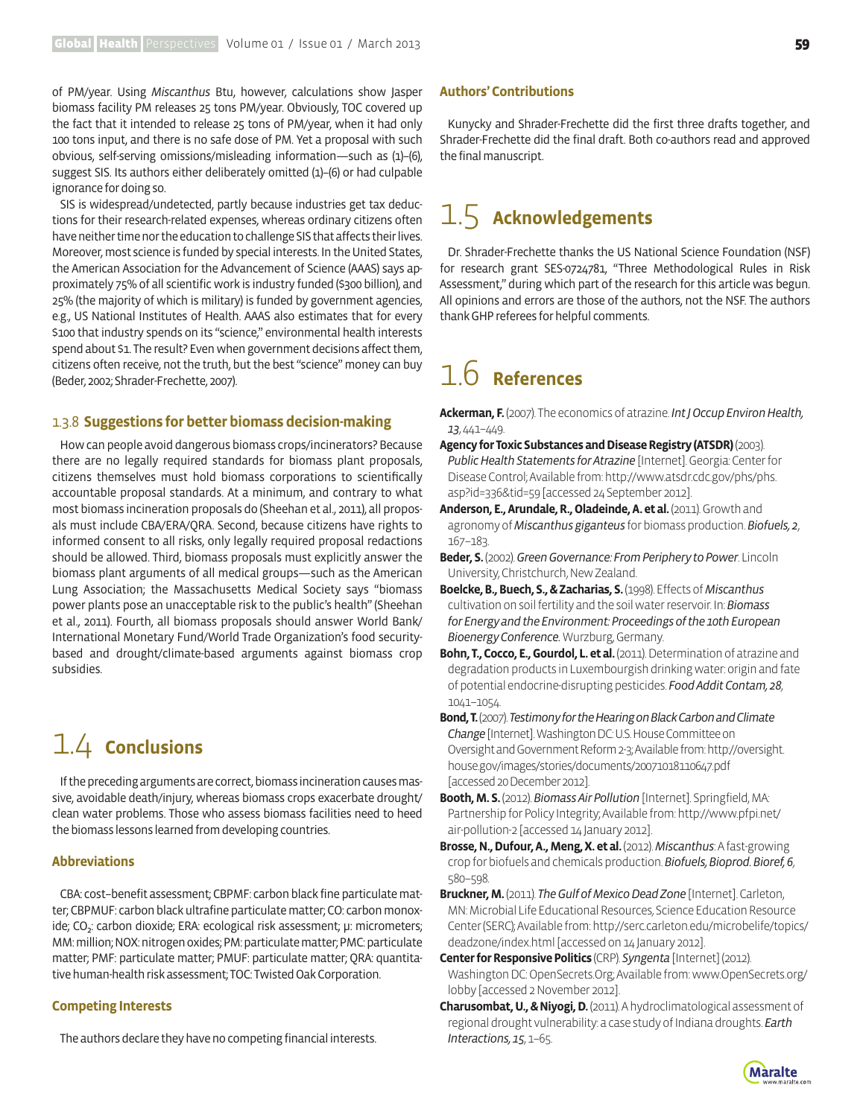of PM/year. Using *Miscanthus* Btu, however, calculations show Jasper biomass facility PM releases 25 tons PM/year. Obviously, TOC covered up the fact that it intended to release 25 tons of PM/year, when it had only 100 tons input, and there is no safe dose of PM. Yet a proposal with such obvious, self-serving omissions/misleading information—such as (1)–(6), suggest SIS. Its authors either deliberately omitted (1)–(6) or had culpable ignorance for doing so.

SIS is widespread/undetected, partly because industries get tax deductions for their research-related expenses, whereas ordinary citizens often have neither time nor the education to challenge SIS that affects their lives. Moreover, most science is funded by special interests. In the United States, the American Association for the Advancement of Science (AAAS) says approximately 75% of all scientific work is industry funded (\$300 billion), and 25% (the majority of which is military) is funded by government agencies, e.g., US National Institutes of Health. AAAS also estimates that for every \$100 that industry spends on its "science," environmental health interests spend about \$1. The result? Even when government decisions affect them, citizens often receive, not the truth, but the best "science" money can buy (Beder, 2002; Shrader-Frechette, 2007).

#### 1.3.8 **Suggestions for better biomass decision-making**

How can people avoid dangerous biomass crops/incinerators? Because there are no legally required standards for biomass plant proposals, citizens themselves must hold biomass corporations to scientifically accountable proposal standards. At a minimum, and contrary to what most biomass incineration proposals do (Sheehan et al., 2011), all proposals must include CBA/ERA/QRA. Second, because citizens have rights to informed consent to all risks, only legally required proposal redactions should be allowed. Third, biomass proposals must explicitly answer the biomass plant arguments of all medical groups—such as the American Lung Association; the Massachusetts Medical Society says "biomass power plants pose an unacceptable risk to the public's health" (Sheehan et al., 2011). Fourth, all biomass proposals should answer World Bank/ International Monetary Fund/World Trade Organization's food securitybased and drought/climate-based arguments against biomass crop subsidies.

# 1.4 **Conclusions**

If the preceding arguments are correct, biomass incineration causes massive, avoidable death/injury, whereas biomass crops exacerbate drought/ clean water problems. Those who assess biomass facilities need to heed the biomass lessons learned from developing countries.

#### **Abbreviations**

CBA: cost–benefit assessment; CBPMF: carbon black fine particulate matter; CBPMUF: carbon black ultrafine particulate matter; CO: carbon monoxide; CO<sub>2</sub>: carbon dioxide; ERA: ecological risk assessment; μ: micrometers; MM: million; NOX: nitrogen oxides; PM: particulate matter; PMC: particulate matter; PMF: particulate matter; PMUF: particulate matter; QRA: quantitative human-health risk assessment; TOC: Twisted Oak Corporation.

#### **Competing Interests**

The authors declare they have no competing financial interests.

#### **Authors' Contributions**

Kunycky and Shrader-Frechette did the first three drafts together, and Shrader-Frechette did the final draft. Both co-authors read and approved the final manuscript.

### 1.5 **Acknowledgements**

Dr. Shrader-Frechette thanks the US National Science Foundation (NSF) for research grant SES-0724781, "Three Methodological Rules in Risk Assessment," during which part of the research for this article was begun. All opinions and errors are those of the authors, not the NSF. The authors thank GHP referees for helpful comments.

# 1.6 **References**

**Ackerman, F.** (2007). The economics of atrazine. *Int J Occup Environ Health, 13*, 441–449.

- **Agency for Toxic Substances and Disease Registry (ATSDR)** (2003). *Public Health Statements for Atrazine* [Internet]. Georgia: Center for Disease Control; Available from: http://www.atsdr.cdc.gov/phs/phs. asp?id=336&tid=59 [accessed 24 September 2012].
- Anderson, E., Arundale, R., Oladeinde, A. et al. (2011). Growth and agronomy of *Miscanthus giganteus* for biomass production. *Biofuels,2*, 167–183.
- **Beder, S.** (2002). *Green Governance: From Periphery to Power*. Lincoln University, Christchurch, New Zealand.
- **Boelcke, B., Buech, S., & Zacharias, S.** (1998). Effects of *Miscanthus* cultivation on soil fertility and the soil water reservoir. In: *Biomass for Energy and the Environment: Proceedings of the 10th European Bioenergy Conference.* Wurzburg, Germany.
- **Bohn, T., Cocco, E., Gourdol, L. et al.** (2011). Determination of atrazine and degradation products in Luxembourgish drinking water: origin and fate of potential endocrine-disrupting pesticides. *Food Addit Contam,28*, 1041–1054.
- **Bond, T.** (2007). *Testimony for the Hearing on Black Carbon and Climate Change* [Internet]. Washington DC: U.S. House Committee on Oversight and Government Reform 2-3; Available from: http://oversight. house.gov/images/stories/documents/20071018110647.pdf [accessed 20 December 2012].
- **Booth, M. S.** (2012). *Biomass Air Pollution* [Internet]. Springfield, MA: Partnership for Policy Integrity; Available from: http://www.pfpi.net/ air-pollution-2 [accessed 14 January 2012].
- **Brosse, N., Dufour, A., Meng, X. et al.** (2012). *Miscanthus*: A fast-growing crop for biofuels and chemicals production. *Biofuels, Bioprod. Bioref,6*, 580–598.
- **Bruckner, M.** (2011). *The Gulf of Mexico Dead Zone* [Internet]. Carleton, MN: Microbial Life Educational Resources, Science Education Resource Center (SERC); Available from: http://serc.carleton.edu/microbelife/topics/ deadzone/index.html [accessed on 14 January 2012].
- **Center for Responsive Politics** (CRP). *Syngenta* [Internet] (2012). Washington DC: OpenSecrets.Org; Available from: www.OpenSecrets.org/ lobby [accessed 2 November 2012].
- **Charusombat, U., & Niyogi, D.** (2011). A hydroclimatological assessment of regional drought vulnerability: a case study of Indiana droughts. *Earth Interactions,15*, 1–65.

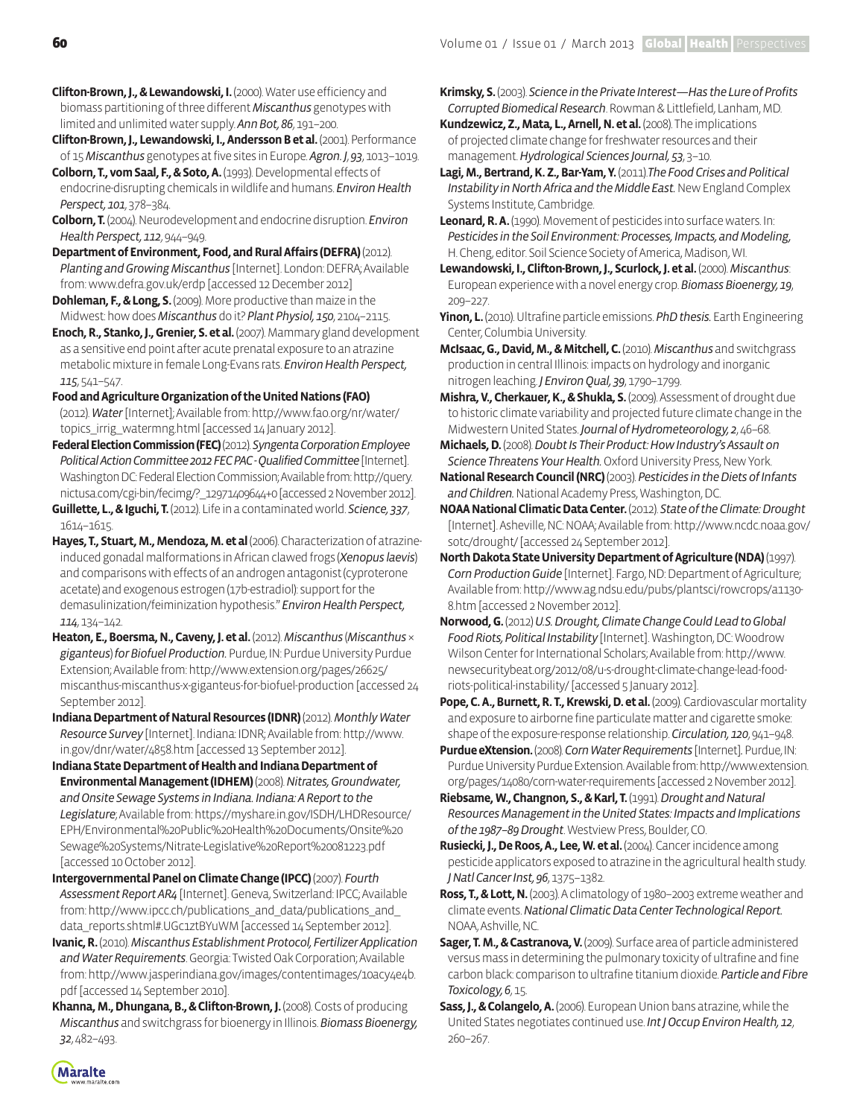**Clifton-Brown, J., & Lewandowski, I.** (2000). Water use efficiency and biomass partitioning of three different *Miscanthus* genotypes with limited and unlimited water supply. *Ann Bot,86*, 191–200.

**Clifton-Brown, J., Lewandowski, I., Andersson B et al. (2001). Performance** of 15 *Miscanthus* genotypes at five sites in Europe. *Agron. J*, *93*, 1013–1019.

**Colborn, T., vom Saal, F., & Soto, A.** (1993). Developmental effects of endocrine-disrupting chemicals in wildlife and humans. *Environ Health Perspect,101*, 378–384.

**Colborn, T.** (2004). Neurodevelopment and endocrine disruption. *Environ Health Perspect,112*, 944–949.

**Department of Environment, Food, and Rural Affairs (DEFRA)** (2012). *Planting and Growing Miscanthus* [Internet]. London: DEFRA; Available from: www.defra.gov.uk/erdp [accessed 12 December 2012]

**Dohleman, F., & Long, S.** (2009). More productive than maize in the Midwest: how does *Miscanthus* do it? *Plant Physiol*, 150, 2104-2115.

**Enoch, R., Stanko, J., Grenier, S. et al.** (2007). Mammary gland development as a sensitive end point after acute prenatal exposure to an atrazine metabolic mixture in female Long-Evans rats. *Environ Health Perspect, 115*, 541–547.

**Food and Agriculture Organization of the United Nations (FAO)** (2012). *Water* [Internet]; Available from: http://www.fao.org/nr/water/ topics\_irrig\_watermng.html [accessed 14 January 2012].

**Federal Election Commission (FEC)** (2012). *Syngenta Corporation Employee Political Action Committee 2012 FEC PAC - Qualified Committee* [Internet]. Washington DC: Federal Election Commission; Available from: http://query. nictusa.com/cgi-bin/fecimg/?\_12971409644+0 [accessed 2 November 2012].

**Guillette, L., & Iguchi, T.** (2012). Life in a contaminated world. *Science*, 337, 1614–1615.

**Hayes, T., Stuart, M., Mendoza, M. et al** (2006). Characterization of atrazineinduced gonadal malformations in African clawed frogs (*Xenopus laevis*) and comparisons with effects of an androgen antagonist (cyproterone acetate) and exogenous estrogen (17b-estradiol): support for the demasulinization/feiminization hypothesis." *Environ Health Perspect, 114*, 134–142.

**Heaton, E., Boersma, N., Caveny, J. et al.** (2012). *Miscanthus* (*Miscanthus* × *giganteus*) *for Biofuel Production.* Purdue, IN: Purdue University Purdue Extension; Available from: http://www.extension.org/pages/26625/ miscanthus-miscanthus-x-giganteus-for-biofuel-production [accessed 24 September 2012].

**Indiana Department of Natural Resources (IDNR)** (2012). *Monthly Water Resource Survey* [Internet]. Indiana: IDNR; Available from: http://www. in.gov/dnr/water/4858.htm [accessed 13 September 2012].

**Indiana State Department of Health and Indiana Department of Environmental Management (IDHEM)** (2008). *Nitrates, Groundwater, and Onsite Sewage Systems in Indiana. Indiana: A Report to the Legislature*; Available from: https://myshare.in.gov/ISDH/LHDResource/ EPH/Environmental%20Public%20Health%20Documents/Onsite%20 Sewage%20Systems/Nitrate-Legislative%20Report%20081223.pdf [accessed 10 October 2012].

**Intergovernmental Panel on Climate Change (IPCC)** (2007). *Fourth Assessment Report AR4* [Internet]. Geneva, Switzerland: IPCC; Available from: http://www.ipcc.ch/publications\_and\_data/publications\_and\_ data\_reports.shtml#.UGc1ztBYuWM [accessed 14 September 2012].

**Ivanic, R.** (2010). *Miscanthus Establishment Protocol, Fertilizer Application and Water Requirements*. Georgia: Twisted Oak Corporation; Available from: http://www.jasperindiana.gov/images/contentimages/10acy4e4b. pdf [accessed 14 September 2010].

Khanna, M., Dhungana, B., & Clifton-Brown, J. (2008). Costs of producing *Miscanthus* and switchgrass for bioenergy in Illinois. *Biomass Bioenergy, 32*, 482–493.

**Krimsky, S.** (2003). *Science in the Private Interest—Has the Lure of Profits Corrupted Biomedical Research*. Rowman & Littlefield, Lanham, MD.

Kundzewicz, Z., Mata, L., Arnell, N. et al. (2008). The implications of projected climate change for freshwater resources and their management. *Hydrological Sciences Journal, 53*, 3-10.

**Lagi, M., Bertrand, K. Z., Bar-Yam, Y.** (2011).*The Food Crises and Political Instability in North Africa and the Middle East.* New England Complex Systems Institute, Cambridge.

Leonard, R.A. (1990). Movement of pesticides into surface waters. In: *Pesticides in the Soil Environment: Processes, Impacts, and Modeling,*  H. Cheng, editor. Soil Science Society of America, Madison, WI.

**Lewandowski, I., Clifton-Brown, J., Scurlock, J. et al.** (2000). *Miscanthus*: European experience with a novel energy crop. *Biomass Bioenergy,19*, 209–227.

**Yinon, L.** (2010). Ultrafine particle emissions. *PhD thesis.* Earth Engineering Center, Columbia University.

**McIsaac, G., David, M., & Mitchell, C.** (2010). *Miscanthus* and switchgrass production in central Illinois: impacts on hydrology and inorganic nitrogen leaching. *J Environ Qual,39*, 1790–1799.

**Mishra, V., Cherkauer, K., & Shukla, S.** (2009). Assessment of drought due to historic climate variability and projected future climate change in the Midwestern United States. *Journal of Hydrometeorology, 2*, 46–68.

**Michaels, D.** (2008). *Doubt Is Their Product: How Industry's Assault on Science Threatens Your Health.* Oxford University Press, New York.

**National Research Council (NRC)** (2003). *Pesticides in the Diets of Infants and Children.* National Academy Press, Washington, DC.

**NOAA National Climatic Data Center.** (2012). *State of the Climate: Drought* [Internet]. Asheville, NC: NOAA; Available from: http://www.ncdc.noaa.gov/ sotc/drought/ [accessed 24 September 2012].

**North Dakota State University Department of Agriculture (NDA)** (1997). *Corn Production Guide* [Internet]. Fargo, ND: Department of Agriculture; Available from: http://www.ag.ndsu.edu/pubs/plantsci/rowcrops/a1130- 8.htm [accessed 2 November 2012].

**Norwood, G.** (2012) *U.S. Drought, Climate Change Could Lead to Global Food Riots, Political Instability* [Internet]. Washington, DC: Woodrow Wilson Center for International Scholars; Available from: http://www. newsecuritybeat.org/2012/08/u-s-drought-climate-change-lead-foodriots-political-instability/ [accessed 5 January 2012].

Pope, C. A., Burnett, R. T., Krewski, D. et al. (2009). Cardiovascular mortality and exposure to airborne fine particulate matter and cigarette smoke: shape of the exposure-response relationship. *Circulation,120*, 941–948.

**Purdue eXtension.** (2008). *Corn Water Requirements* [Internet]*.* Purdue, IN: Purdue University Purdue Extension. Available from: http://www.extension. org/pages/14080/corn-water-requirements [accessed 2 November 2012].

**Riebsame, W., Changnon, S., & Karl, T.** (1991). *Drought and Natural Resources Management in the United States: Impacts and Implications of the 1987–89 Drought*. Westview Press, Boulder, CO.

**Rusiecki, J., De Roos, A., Lee, W. et al.** (2004). Cancer incidence among pesticide applicators exposed to atrazine in the agricultural health study. *J Natl Cancer Inst,96*, 1375–1382.

**Ross, T., & Lott, N.** (2003). A climatology of 1980–2003 extreme weather and climate events. *National Climatic Data Center Technological Report.*  NOAA,Ashville, NC.

**Sager, T. M., & Castranova, V.** (2009). Surface area of particle administered versus mass in determining the pulmonary toxicity of ultrafine and fine carbon black: comparison to ultrafine titanium dioxide. *Particle and Fibre Toxicology,6*, 15.

**Sass, J., & Colangelo, A.** (2006). European Union bans atrazine, while the United States negotiates continued use. *Int J Occup Environ Health,12*, 260–267.